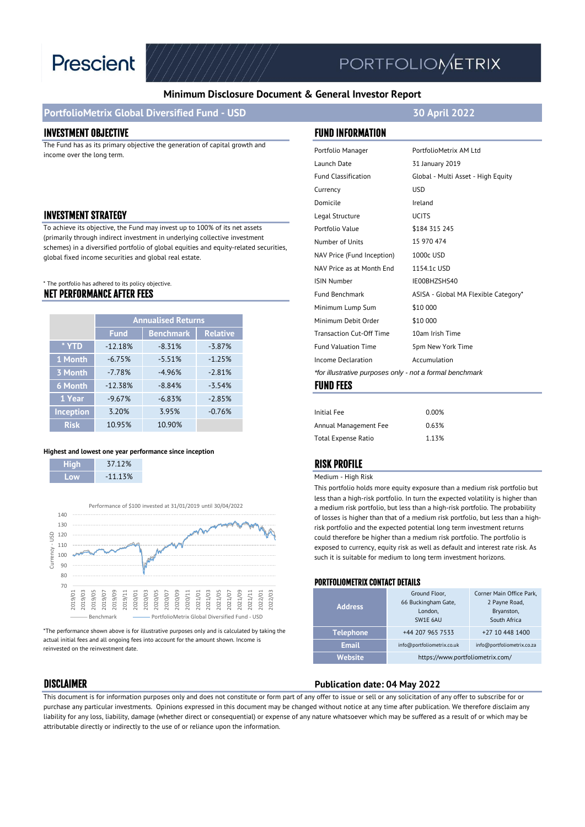

# **PORTFOLIOMETRIX**

#### **Minimum Disclosure Document & General Investor Report**

#### **PortfolioMetrix Global Diversified Fund - USD 30 April 2022**

#### INVESTMENT OBJECTIVE FUND INFORMATION

The Fund has as its primary objective the generation of capital growth and income over the long term.

#### **INVESTMENT STRATEGY**

To achieve its objective, the Fund may invest up to 100% of its net assets (primarily through indirect investment in underlying collective investment schemes) in a diversified portfolio of global equities and equity-related securities, global fixed income securities and global real estate.

#### NET PERFORMANCE AFTER FEES \* The portfolio has adhered to its policy objective.

|                  | <b>Annualised Returns</b> |                  |                 |
|------------------|---------------------------|------------------|-----------------|
|                  | <b>Fund</b>               | <b>Benchmark</b> | <b>Relative</b> |
| * YTD            | $-12.18%$                 | $-8.31%$         | $-3.87%$        |
| 1 Month          | $-6.75%$                  | $-5.51%$         | $-1.25%$        |
| 3 Month          | $-7.78%$                  | $-4.96%$         | $-2.81%$        |
| <b>6 Month</b>   | $-12.38%$                 | $-8.84%$         | $-3.54%$        |
| 1 Year           | $-9.67%$                  | $-6.83%$         | $-2.85%$        |
| <b>Inception</b> | 3.20%                     | 3.95%            | $-0.76%$        |
| <b>Risk</b>      | 10.95%                    | 10.90%           |                 |

#### **Highest and lowest one year performance since inception**

| Hiah | 37.12%    |
|------|-----------|
| nw   | $-11.13%$ |



\*The performance shown above is for illustrative purposes only and is calculated by taking the actual initial fees and all ongoing fees into account for the amount shown. Income is reinvested on the reinvestment date.

| Portfolio Manager                                        | PortfolioMetrix AM Ltd               |  |  |  |
|----------------------------------------------------------|--------------------------------------|--|--|--|
| Launch Date                                              | 31 January 2019                      |  |  |  |
| <b>Fund Classification</b>                               | Global - Multi Asset - High Equity   |  |  |  |
| Currency                                                 | <b>USD</b>                           |  |  |  |
| Domicile                                                 | Ireland                              |  |  |  |
| Legal Structure                                          | <b>UCITS</b>                         |  |  |  |
| Portfolio Value                                          | \$184 315 245                        |  |  |  |
| Number of Units                                          | 15 970 474                           |  |  |  |
| NAV Price (Fund Inception)                               | 1000c USD                            |  |  |  |
| NAV Price as at Month End                                | 1154.1c USD                          |  |  |  |
| <b>ISIN Number</b>                                       | IE00BHZSHS40                         |  |  |  |
| <b>Fund Benchmark</b>                                    | ASISA - Global MA Flexible Category* |  |  |  |
| Minimum Lump Sum                                         | \$10 000                             |  |  |  |
| Minimum Debit Order                                      | \$10 000                             |  |  |  |
| <b>Transaction Cut-Off Time</b>                          | 10am Irish Time                      |  |  |  |
| <b>Fund Valuation Time</b>                               | 5pm New York Time                    |  |  |  |
| Income Declaration                                       | Accumulation                         |  |  |  |
| *for illustrative purposes only - not a formal benchmark |                                      |  |  |  |
| EIINN EEEC                                               |                                      |  |  |  |

#### FUND FEES

| 0.00% |
|-------|
| 0.63% |
| 1.13% |
|       |

#### RISK PROFILE

Medium - High Risk

This portfolio holds more equity exposure than a medium risk portfolio but less than a high-risk portfolio. In turn the expected volatility is higher than a medium risk portfolio, but less than a high-risk portfolio. The probability of losses is higher than that of a medium risk portfolio, but less than a highrisk portfolio and the expected potential long term investment returns could therefore be higher than a medium risk portfolio. The portfolio is exposed to currency, equity risk as well as default and interest rate risk. As such it is suitable for medium to long term investment horizons.

#### PORTFOLIOMETRIX CONTACT DETAILS

| <b>Address</b>   | Ground Floor,<br>66 Buckingham Gate,<br>London,<br>SW1E 6AU | Corner Main Office Park,<br>2 Payne Road,<br>Bryanston,<br>South Africa |
|------------------|-------------------------------------------------------------|-------------------------------------------------------------------------|
| <b>Telephone</b> | +44 207 965 7533                                            | +27 10 448 1400                                                         |
| <b>Email</b>     | info@portfoliometrix.co.uk                                  | info@portfoliometrix.co.za                                              |
| Website          | https://www.portfoliometrix.com/                            |                                                                         |

#### DISCLAIMER **Publication date: 04 May 2022**

This document is for information purposes only and does not constitute or form part of any offer to issue or sell or any solicitation of any offer to subscribe for or purchase any particular investments. Opinions expressed in this document may be changed without notice at any time after publication. We therefore disclaim any liability for any loss, liability, damage (whether direct or consequential) or expense of any nature whatsoever which may be suffered as a result of or which may be attributable directly or indirectly to the use of or reliance upon the information.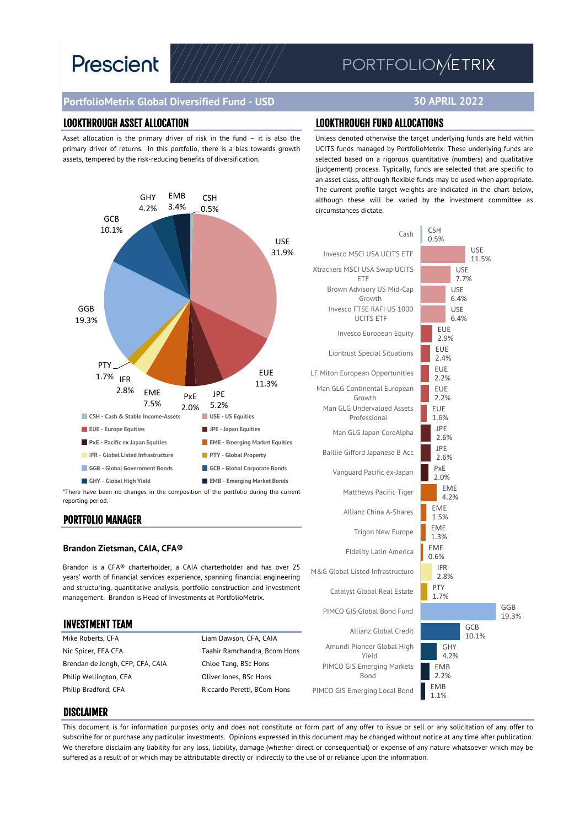# **Prescient**

## PORTFOLIOMETRIX

**30 APRIL 2022**

#### **PortfolioMetrix Global Diversified Fund - USD**

#### LOOKTHROUGH ASSET ALLOCATION LOOKTHROUGH FUND ALLOCATIONS

Asset allocation is the primary driver of risk in the fund – it is also the primary driver of returns. In this portfolio, there is a bias towards growth assets, tempered by the risk-reducing benefits of diversification.



PORTFOLIO MANAGER

#### **Brandon Zietsman, CAIA, CFA®**

Brandon is a CFA® charterholder, a CAIA charterholder and has over 25 years' worth of financial services experience, spanning financial engineering and structuring, quantitative analysis, portfolio construction and investment management. Brandon is Head of Investments at PortfolioMetrix.

### INVESTMENT TEAM Mike Roberts, CFA **Liam Dawson, CFA, CAIA** Nic Spicer, FFA CFA Taahir Ramchandra, Bcom Hons Brendan de Jongh, CFP, CFA, CAIA Chloe Tang, BSc Hons Philip Wellington, CFA Oliver Jones, BSc Hons Philip Bradford, CFA Riccardo Peretti, BCom Hons

Unless denoted otherwise the target underlying funds are held within UCITS funds managed by PortfolioMetrix. These underlying funds are selected based on a rigorous quantitative (numbers) and qualitative (judgement) process. Typically, funds are selected that are specific to an asset class, although flexible funds may be used when appropriate. The current profile target weights are indicated in the chart below, although these will be varied by the investment committee as circumstances dictate.



#### DISCLAIMER

This document is for information purposes only and does not constitute or form part of any offer to issue or sell or any solicitation of any offer to subscribe for or purchase any particular investments. Opinions expressed in this document may be changed without notice at any time after publication. We therefore disclaim any liability for any loss, liability, damage (whether direct or consequential) or expense of any nature whatsoever which may be suffered as a result of or which may be attributable directly or indirectly to the use of or reliance upon the information.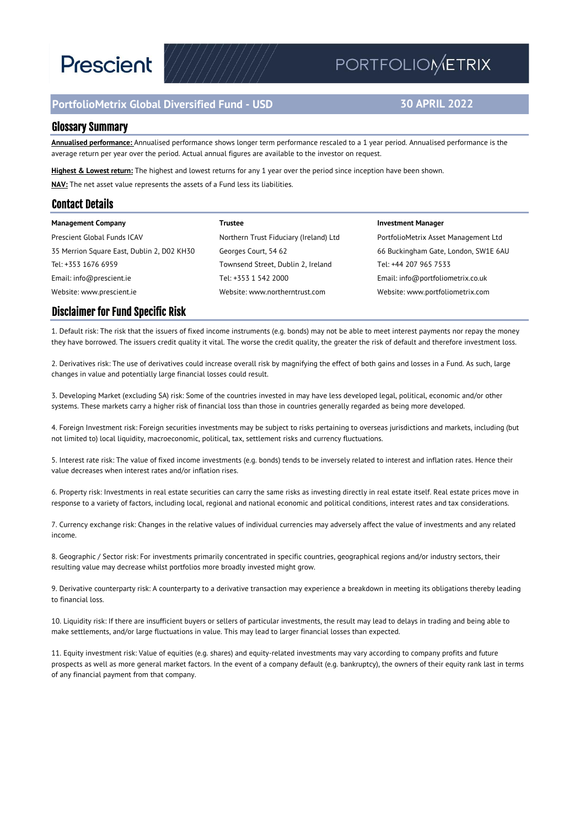# **Prescient**

### **PortfolioMetrix Global Diversified Fund - USD**

## PORTFOLIOMETRIX

#### **30 APRIL 2022**

#### Glossary Summary

**Annualised performance:** Annualised performance shows longer term performance rescaled to a 1 year period. Annualised performance is the average return per year over the period. Actual annual figures are available to the investor on request.

**Highest & Lowest return:** The highest and lowest returns for any 1 year over the period since inception have been shown. **NAV:** The net asset value represents the assets of a Fund less its liabilities.

#### Contact Details

| <b>Management Company</b>                  | Trustee                                | <b>Investment Manager</b>            |
|--------------------------------------------|----------------------------------------|--------------------------------------|
| Prescient Global Funds ICAV                | Northern Trust Fiduciary (Ireland) Ltd | PortfolioMetrix Asset Management Ltd |
| 35 Merrion Square East, Dublin 2, D02 KH30 | Georges Court, 54 62                   | 66 Buckingham Gate, London, SW1E 6AU |
| Tel: +353 1676 6959                        | Townsend Street, Dublin 2, Ireland     | Tel: +44 207 965 7533                |
| Email: info@prescient.ie                   | Tel: +353 1 542 2000                   | Email: info@portfoliometrix.co.uk    |
| Website: www.prescient.ie                  | Website: www.northerntrust.com         | Website: www.portfoliometrix.com     |

#### Disclaimer for Fund Specific Risk

1. Default risk: The risk that the issuers of fixed income instruments (e.g. bonds) may not be able to meet interest payments nor repay the money they have borrowed. The issuers credit quality it vital. The worse the credit quality, the greater the risk of default and therefore investment loss.

2. Derivatives risk: The use of derivatives could increase overall risk by magnifying the effect of both gains and losses in a Fund. As such, large changes in value and potentially large financial losses could result.

3. Developing Market (excluding SA) risk: Some of the countries invested in may have less developed legal, political, economic and/or other systems. These markets carry a higher risk of financial loss than those in countries generally regarded as being more developed.

4. Foreign Investment risk: Foreign securities investments may be subject to risks pertaining to overseas jurisdictions and markets, including (but not limited to) local liquidity, macroeconomic, political, tax, settlement risks and currency fluctuations.

5. Interest rate risk: The value of fixed income investments (e.g. bonds) tends to be inversely related to interest and inflation rates. Hence their value decreases when interest rates and/or inflation rises.

6. Property risk: Investments in real estate securities can carry the same risks as investing directly in real estate itself. Real estate prices move in response to a variety of factors, including local, regional and national economic and political conditions, interest rates and tax considerations.

7. Currency exchange risk: Changes in the relative values of individual currencies may adversely affect the value of investments and any related income.

8. Geographic / Sector risk: For investments primarily concentrated in specific countries, geographical regions and/or industry sectors, their resulting value may decrease whilst portfolios more broadly invested might grow.

9. Derivative counterparty risk: A counterparty to a derivative transaction may experience a breakdown in meeting its obligations thereby leading to financial loss.

10. Liquidity risk: If there are insufficient buyers or sellers of particular investments, the result may lead to delays in trading and being able to make settlements, and/or large fluctuations in value. This may lead to larger financial losses than expected.

11. Equity investment risk: Value of equities (e.g. shares) and equity-related investments may vary according to company profits and future prospects as well as more general market factors. In the event of a company default (e.g. bankruptcy), the owners of their equity rank last in terms of any financial payment from that company.